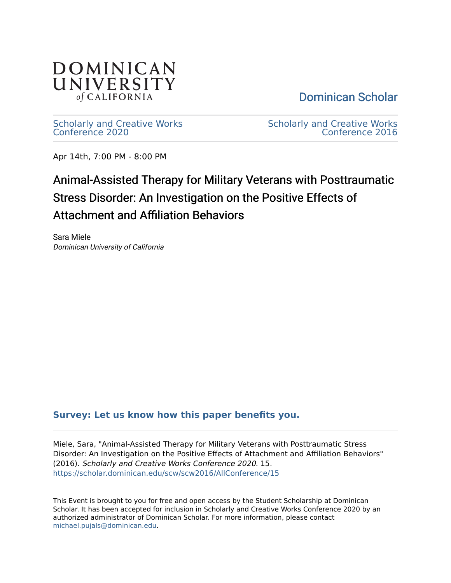

[Dominican Scholar](https://scholar.dominican.edu/) 

[Scholarly and Creative Works](https://scholar.dominican.edu/scw) [Conference 2020](https://scholar.dominican.edu/scw) 

[Scholarly and Creative Works](https://scholar.dominican.edu/scw/scw2016)  [Conference 2016](https://scholar.dominican.edu/scw/scw2016) 

Apr 14th, 7:00 PM - 8:00 PM

# Animal-Assisted Therapy for Military Veterans with Posttraumatic Stress Disorder: An Investigation on the Positive Effects of Attachment and Affiliation Behaviors

Sara Miele Dominican University of California

### **[Survey: Let us know how this paper benefits you.](https://dominican.libwizard.com/dominican-scholar-feedback)**

Miele, Sara, "Animal-Assisted Therapy for Military Veterans with Posttraumatic Stress Disorder: An Investigation on the Positive Effects of Attachment and Affiliation Behaviors" (2016). Scholarly and Creative Works Conference 2020. 15. [https://scholar.dominican.edu/scw/scw2016/AllConference/15](https://scholar.dominican.edu/scw/scw2016/AllConference/15?utm_source=scholar.dominican.edu%2Fscw%2Fscw2016%2FAllConference%2F15&utm_medium=PDF&utm_campaign=PDFCoverPages)

This Event is brought to you for free and open access by the Student Scholarship at Dominican Scholar. It has been accepted for inclusion in Scholarly and Creative Works Conference 2020 by an authorized administrator of Dominican Scholar. For more information, please contact [michael.pujals@dominican.edu.](mailto:michael.pujals@dominican.edu)